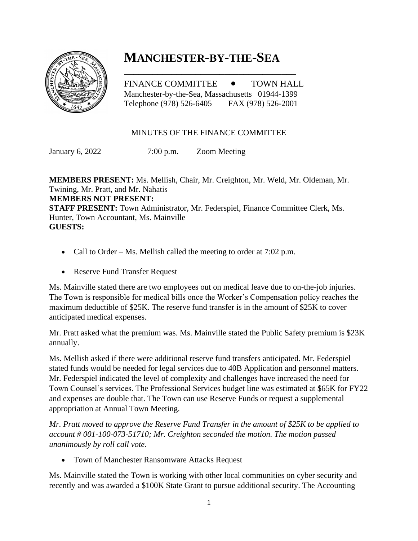

## **MANCHESTER-BY-THE-SEA**

FINANCE COMMITTEE  $\bullet$  TOWN HALL Manchester-by-the-Sea, Massachusetts 01944-1399 Telephone (978) 526-6405 FAX (978) 526-2001

\_\_\_\_\_\_\_\_\_\_\_\_\_\_\_\_\_\_\_\_\_\_\_\_\_\_\_\_\_\_\_\_\_\_\_\_

## MINUTES OF THE FINANCE COMMITTEE

January 6, 2022 7:00 p.m. Zoom Meeting

**MEMBERS PRESENT:** Ms. Mellish, Chair, Mr. Creighton, Mr. Weld, Mr. Oldeman, Mr. Twining, Mr. Pratt, and Mr. Nahatis **MEMBERS NOT PRESENT: STAFF PRESENT:** Town Administrator, Mr. Federspiel, Finance Committee Clerk, Ms. Hunter, Town Accountant, Ms. Mainville **GUESTS:** 

- Call to Order Ms. Mellish called the meeting to order at 7:02 p.m.
- Reserve Fund Transfer Request

Ms. Mainville stated there are two employees out on medical leave due to on-the-job injuries. The Town is responsible for medical bills once the Worker's Compensation policy reaches the maximum deductible of \$25K. The reserve fund transfer is in the amount of \$25K to cover anticipated medical expenses.

Mr. Pratt asked what the premium was. Ms. Mainville stated the Public Safety premium is \$23K annually.

Ms. Mellish asked if there were additional reserve fund transfers anticipated. Mr. Federspiel stated funds would be needed for legal services due to 40B Application and personnel matters. Mr. Federspiel indicated the level of complexity and challenges have increased the need for Town Counsel's services. The Professional Services budget line was estimated at \$65K for FY22 and expenses are double that. The Town can use Reserve Funds or request a supplemental appropriation at Annual Town Meeting.

*Mr. Pratt moved to approve the Reserve Fund Transfer in the amount of \$25K to be applied to account # 001-100-073-51710; Mr. Creighton seconded the motion. The motion passed unanimously by roll call vote.* 

• Town of Manchester Ransomware Attacks Request

Ms. Mainville stated the Town is working with other local communities on cyber security and recently and was awarded a \$100K State Grant to pursue additional security. The Accounting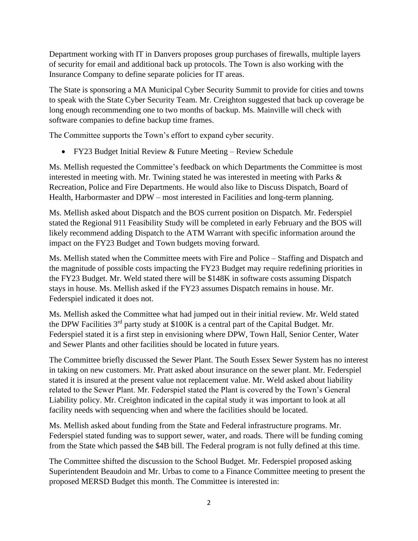Department working with IT in Danvers proposes group purchases of firewalls, multiple layers of security for email and additional back up protocols. The Town is also working with the Insurance Company to define separate policies for IT areas.

The State is sponsoring a MA Municipal Cyber Security Summit to provide for cities and towns to speak with the State Cyber Security Team. Mr. Creighton suggested that back up coverage be long enough recommending one to two months of backup. Ms. Mainville will check with software companies to define backup time frames.

The Committee supports the Town's effort to expand cyber security.

• FY23 Budget Initial Review & Future Meeting – Review Schedule

Ms. Mellish requested the Committee's feedback on which Departments the Committee is most interested in meeting with. Mr. Twining stated he was interested in meeting with Parks & Recreation, Police and Fire Departments. He would also like to Discuss Dispatch, Board of Health, Harbormaster and DPW – most interested in Facilities and long-term planning.

Ms. Mellish asked about Dispatch and the BOS current position on Dispatch. Mr. Federspiel stated the Regional 911 Feasibility Study will be completed in early February and the BOS will likely recommend adding Dispatch to the ATM Warrant with specific information around the impact on the FY23 Budget and Town budgets moving forward.

Ms. Mellish stated when the Committee meets with Fire and Police – Staffing and Dispatch and the magnitude of possible costs impacting the FY23 Budget may require redefining priorities in the FY23 Budget. Mr. Weld stated there will be \$148K in software costs assuming Dispatch stays in house. Ms. Mellish asked if the FY23 assumes Dispatch remains in house. Mr. Federspiel indicated it does not.

Ms. Mellish asked the Committee what had jumped out in their initial review. Mr. Weld stated the DPW Facilities 3<sup>rd</sup> party study at \$100K is a central part of the Capital Budget. Mr. Federspiel stated it is a first step in envisioning where DPW, Town Hall, Senior Center, Water and Sewer Plants and other facilities should be located in future years.

The Committee briefly discussed the Sewer Plant. The South Essex Sewer System has no interest in taking on new customers. Mr. Pratt asked about insurance on the sewer plant. Mr. Federspiel stated it is insured at the present value not replacement value. Mr. Weld asked about liability related to the Sewer Plant. Mr. Federspiel stated the Plant is covered by the Town's General Liability policy. Mr. Creighton indicated in the capital study it was important to look at all facility needs with sequencing when and where the facilities should be located.

Ms. Mellish asked about funding from the State and Federal infrastructure programs. Mr. Federspiel stated funding was to support sewer, water, and roads. There will be funding coming from the State which passed the \$4B bill. The Federal program is not fully defined at this time.

The Committee shifted the discussion to the School Budget. Mr. Federspiel proposed asking Superintendent Beaudoin and Mr. Urbas to come to a Finance Committee meeting to present the proposed MERSD Budget this month. The Committee is interested in: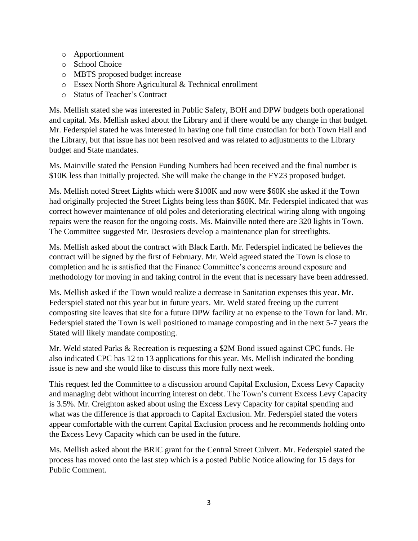- o Apportionment
- o School Choice
- o MBTS proposed budget increase
- o Essex North Shore Agricultural & Technical enrollment
- o Status of Teacher's Contract

Ms. Mellish stated she was interested in Public Safety, BOH and DPW budgets both operational and capital. Ms. Mellish asked about the Library and if there would be any change in that budget. Mr. Federspiel stated he was interested in having one full time custodian for both Town Hall and the Library, but that issue has not been resolved and was related to adjustments to the Library budget and State mandates.

Ms. Mainville stated the Pension Funding Numbers had been received and the final number is \$10K less than initially projected. She will make the change in the FY23 proposed budget.

Ms. Mellish noted Street Lights which were \$100K and now were \$60K she asked if the Town had originally projected the Street Lights being less than \$60K. Mr. Federspiel indicated that was correct however maintenance of old poles and deteriorating electrical wiring along with ongoing repairs were the reason for the ongoing costs. Ms. Mainville noted there are 320 lights in Town. The Committee suggested Mr. Desrosiers develop a maintenance plan for streetlights.

Ms. Mellish asked about the contract with Black Earth. Mr. Federspiel indicated he believes the contract will be signed by the first of February. Mr. Weld agreed stated the Town is close to completion and he is satisfied that the Finance Committee's concerns around exposure and methodology for moving in and taking control in the event that is necessary have been addressed.

Ms. Mellish asked if the Town would realize a decrease in Sanitation expenses this year. Mr. Federspiel stated not this year but in future years. Mr. Weld stated freeing up the current composting site leaves that site for a future DPW facility at no expense to the Town for land. Mr. Federspiel stated the Town is well positioned to manage composting and in the next 5-7 years the Stated will likely mandate composting.

Mr. Weld stated Parks & Recreation is requesting a \$2M Bond issued against CPC funds. He also indicated CPC has 12 to 13 applications for this year. Ms. Mellish indicated the bonding issue is new and she would like to discuss this more fully next week.

This request led the Committee to a discussion around Capital Exclusion, Excess Levy Capacity and managing debt without incurring interest on debt. The Town's current Excess Levy Capacity is 3.5%. Mr. Creighton asked about using the Excess Levy Capacity for capital spending and what was the difference is that approach to Capital Exclusion. Mr. Federspiel stated the voters appear comfortable with the current Capital Exclusion process and he recommends holding onto the Excess Levy Capacity which can be used in the future.

Ms. Mellish asked about the BRIC grant for the Central Street Culvert. Mr. Federspiel stated the process has moved onto the last step which is a posted Public Notice allowing for 15 days for Public Comment.